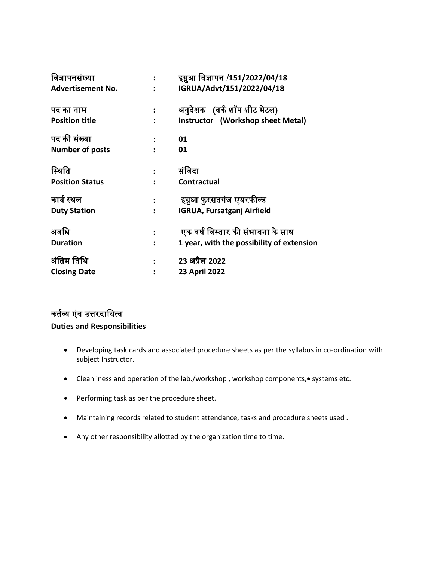| विज्ञापनसंख्या           | $\ddot{\cdot}$ | इग्नुआ विज्ञापन /151/2022/04/18           |
|--------------------------|----------------|-------------------------------------------|
| <b>Advertisement No.</b> |                | IGRUA/Advt/151/2022/04/18                 |
| पद का नाम                | $\ddot{\cdot}$ | अनुदेशक (वर्क शॉप शीट मेटल)               |
| <b>Position title</b>    |                | Instructor (Workshop sheet Metal)         |
| पद की संख्या             |                | 01                                        |
| <b>Number of posts</b>   | $\ddot{\cdot}$ | 01                                        |
| स्थिति                   | $\ddot{\cdot}$ | संविदा                                    |
| <b>Position Status</b>   |                | Contractual                               |
| कार्य स्थल               |                | इग्नुआ फुरसतगंज एयरफील्ड                  |
| <b>Duty Station</b>      |                | <b>IGRUA, Fursatganj Airfield</b>         |
| अवधि                     |                | एक वर्ष विस्तार की संभावना के साथ         |
| <b>Duration</b>          |                | 1 year, with the possibility of extension |
| अंतिम तिथि               |                | 23 अप्रैल 2022                            |
| <b>Closing Date</b>      |                | 23 April 2022                             |

# <u>कर्तव्य एंव उत्तरदायित्व</u>

**Duties and Responsibilities** 

- Developing task cards and associated procedure sheets as per the syllabus in co-ordination with subject Instructor.
- Cleanliness and operation of the lab./workshop, workshop components, systems etc.
- Performing task as per the procedure sheet.
- Maintaining records related to student attendance, tasks and procedure sheets used .
- Any other responsibility allotted by the organization time to time.